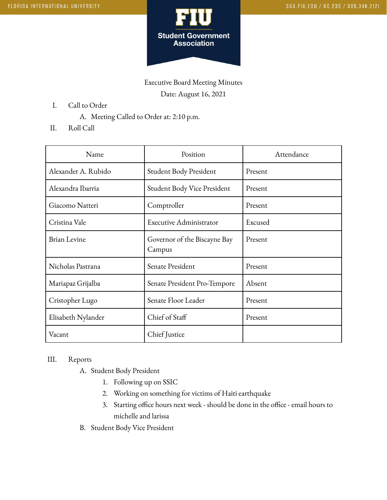

Executive Board Meeting Minutes Date: August 16, 2021

- I. Call to Order
	- A. Meeting Called to Order at: 2:10 p.m.
- II. Roll Call

| Name                | Position                               | Attendance |
|---------------------|----------------------------------------|------------|
| Alexander A. Rubido | Student Body President                 | Present    |
| Alexandra Ibarria   | Student Body Vice President            | Present    |
| Giacomo Natteri     | Comptroller                            | Present    |
| Cristina Vale       | Executive Administrator                | Excused    |
| <b>Brian Levine</b> | Governor of the Biscayne Bay<br>Campus | Present    |
| Nicholas Pastrana   | Senate President                       | Present    |
| Mariapaz Grijalba   | Senate President Pro-Tempore           | Absent     |
| Cristopher Lugo     | Senate Floor Leader                    | Present    |
| Elisabeth Nylander  | Chief of Staff                         | Present    |
| Vacant              | Chief Justice                          |            |

## III. Reports

- A. Student Body President
	- 1. Following up on SSIC
	- 2. Working on something for victims of Haiti earthquake
	- 3. Starting office hours next week should be done in the office email hours to michelle and larissa
- B. Student Body Vice President